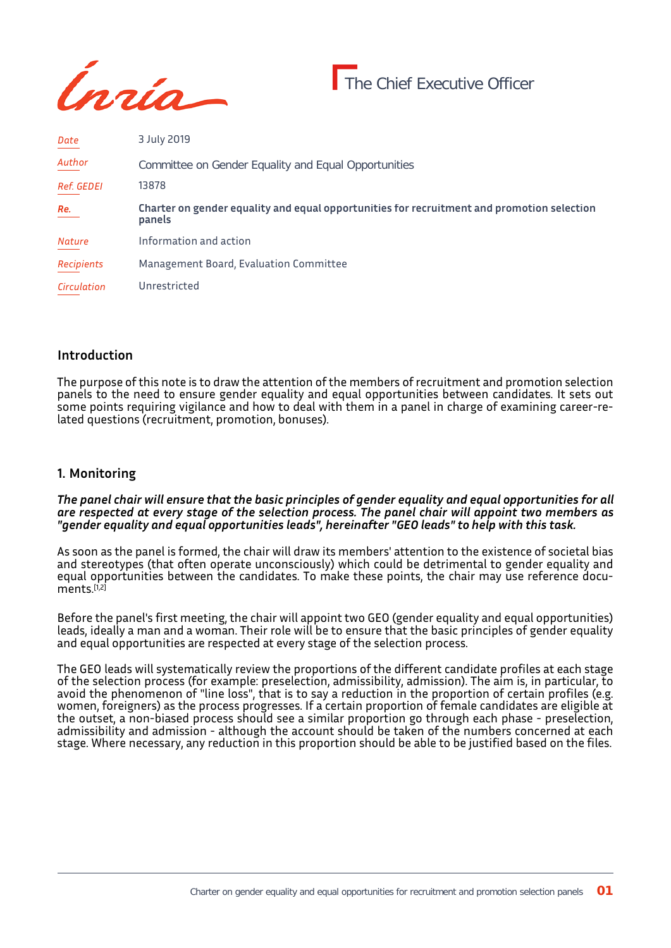

| Date              | 3 July 2019                                                                                          |
|-------------------|------------------------------------------------------------------------------------------------------|
| Author            | Committee on Gender Equality and Equal Opportunities                                                 |
| <b>Ref. GEDEI</b> | 13878                                                                                                |
| Re.               | Charter on gender equality and equal opportunities for recruitment and promotion selection<br>panels |
| <b>Nature</b>     | Information and action                                                                               |
| Recipients        | Management Board, Evaluation Committee                                                               |
| Circulation       | Unrestricted                                                                                         |

## **Introduction**

The purpose of this note is to draw the attention of the members of recruitment and promotion selection panels to the need to ensure gender equality and equal opportunities between candidates. It sets out some points requiring vigilance and how to deal with them in a panel in charge of examining career-related questions (recruitment, promotion, bonuses).

## **1. Monitoring**

*The panel chair will ensure that the basic principles of gender equality and equal opportunities for all are respected at every stage of the selection process. The panel chair will appoint two members as "gender equality and equal opportunities leads", hereinafter "GEO leads" to help with this task.*

As soon as the panel is formed, the chair will draw its members' attention to the existence of societal bias and stereotypes (that often operate unconsciously) which could be detrimental to gender equality and equal opportunities between the candidates. To make these points, the chair may use reference documents<sup>[1,2]</sup>

Before the panel's first meeting, the chair will appoint two GEO (gender equality and equal opportunities) leads, ideally a man and a woman. Their role will be to ensure that the basic principles of gender equality and equal opportunities are respected at every stage of the selection process.

The GEO leads will systematically review the proportions of the different candidate profiles at each stage of the selection process (for example: preselection, admissibility, admission). The aim is, in particular, to avoid the phenomenon of "line loss", that is to say a reduction in the proportion of certain profiles (e.g. women, foreigners) as the process progresses. If a certain proportion of female candidates are eligible at the outset, a non-biased process should see a similar proportion go through each phase - preselection, admissibility and admission - although the account should be taken of the numbers concerned at each stage. Where necessary, any reduction in this proportion should be able to be justified based on the files.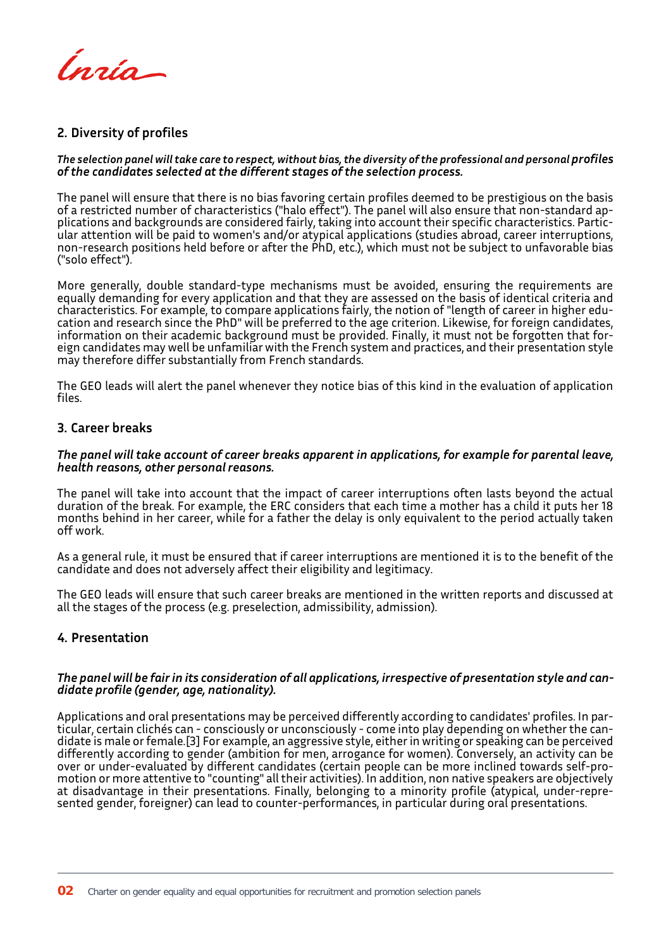Ínría

# **2. Diversity of profiles**

#### *The selection panel will take care to respect, without bias, the diversity of the professional and personal profiles of the candidates selected at the different stages of the selection process.*

The panel will ensure that there is no bias favoring certain profiles deemed to be prestigious on the basis of a restricted number of characteristics ("halo effect"). The panel will also ensure that non-standard applications and backgrounds are considered fairly, taking into account their specific characteristics. Particular attention will be paid to women's and/or atypical applications (studies abroad, career interruptions, non-research positions held before or after the PhD, etc.), which must not be subject to unfavorable bias ("solo effect").

More generally, double standard-type mechanisms must be avoided, ensuring the requirements are equally demanding for every application and that they are assessed on the basis of identical criteria and characteristics. For example, to compare applications fairly, the notion of "length of career in higher education and research since the PhD" will be preferred to the age criterion. Likewise, for foreign candidates, information on their academic background must be provided. Finally, it must not be forgotten that foreign candidates may well be unfamiliar with the French system and practices, and their presentation style may therefore differ substantially from French standards.

The GEO leads will alert the panel whenever they notice bias of this kind in the evaluation of application files.

### **3. Career breaks**

#### *The panel will take account of career breaks apparent in applications, for example for parental leave, health reasons, other personal reasons.*

The panel will take into account that the impact of career interruptions often lasts beyond the actual duration of the break. For example, the ERC considers that each time a mother has a child it puts her 18 months behind in her career, while for a father the delay is only equivalent to the period actually taken off work.

As a general rule, it must be ensured that if career interruptions are mentioned it is to the benefit of the candidate and does not adversely affect their eligibility and legitimacy.

The GEO leads will ensure that such career breaks are mentioned in the written reports and discussed at all the stages of the process (e.g. preselection, admissibility, admission).

## **4. Presentation**

### *The panel will be fair in its consideration of all applications, irrespective of presentation style and candidate profile (gender, age, nationality).*

Applications and oral presentations may be perceived differently according to candidates' profiles. In particular, certain clichés can - consciously or unconsciously - come into play depending on whether the candidate is male or female.[3] For example, an aggressive style, either in writing or speaking can be perceived differently according to gender (ambition for men, arrogance for women). Conversely, an activity can be over or under-evaluated by different candidates (certain people can be more inclined towards self-promotion or more attentive to "counting" all their activities). In addition, non native speakers are objectively at disadvantage in their presentations. Finally, belonging to a minority profile (atypical, under-represented gender, foreigner) can lead to counter-performances, in particular during oral presentations.